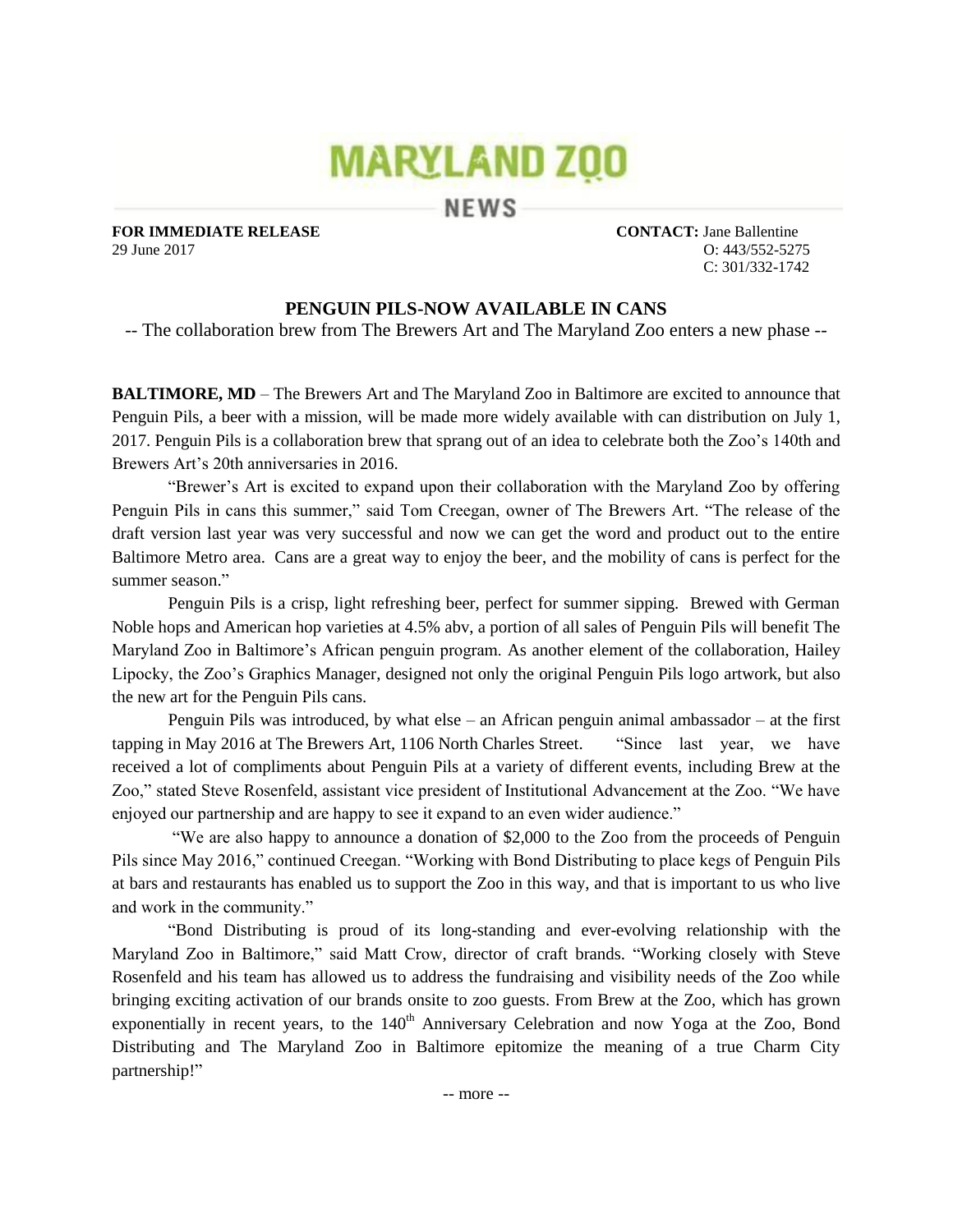# **MARYLAND ZOO**

NEWS

**FOR IMMEDIATE RELEASE CONTACT:** Jane Ballentine 29 June 2017 O: 443/552-5275

C: 301/332-1742

## **PENGUIN PILS-NOW AVAILABLE IN CANS**

-- The collaboration brew from The Brewers Art and The Maryland Zoo enters a new phase --

**BALTIMORE, MD** – The Brewers Art and The Maryland Zoo in Baltimore are excited to announce that Penguin Pils, a beer with a mission, will be made more widely available with can distribution on July 1, 2017. Penguin Pils is a collaboration brew that sprang out of an idea to celebrate both the Zoo's 140th and Brewers Art's 20th anniversaries in 2016.

"Brewer's Art is excited to expand upon their collaboration with the Maryland Zoo by offering Penguin Pils in cans this summer," said Tom Creegan, owner of The Brewers Art. "The release of the draft version last year was very successful and now we can get the word and product out to the entire Baltimore Metro area. Cans are a great way to enjoy the beer, and the mobility of cans is perfect for the summer season."

Penguin Pils is a crisp, light refreshing beer, perfect for summer sipping. Brewed with German Noble hops and American hop varieties at 4.5% abv, a portion of all sales of Penguin Pils will benefit The Maryland Zoo in Baltimore's African penguin program. As another element of the collaboration, Hailey Lipocky, the Zoo's Graphics Manager, designed not only the original Penguin Pils logo artwork, but also the new art for the Penguin Pils cans.

Penguin Pils was introduced, by what else – an African penguin animal ambassador – at the first tapping in May 2016 at The Brewers Art, 1106 North Charles Street. "Since last year, we have received a lot of compliments about Penguin Pils at a variety of different events, including Brew at the Zoo," stated Steve Rosenfeld, assistant vice president of Institutional Advancement at the Zoo. "We have enjoyed our partnership and are happy to see it expand to an even wider audience."

"We are also happy to announce a donation of \$2,000 to the Zoo from the proceeds of Penguin Pils since May 2016," continued Creegan. "Working with Bond Distributing to place kegs of Penguin Pils at bars and restaurants has enabled us to support the Zoo in this way, and that is important to us who live and work in the community."

"Bond Distributing is proud of its long-standing and ever-evolving relationship with the Maryland Zoo in Baltimore," said Matt Crow, director of craft brands. "Working closely with Steve Rosenfeld and his team has allowed us to address the fundraising and visibility needs of the Zoo while bringing exciting activation of our brands onsite to zoo guests. From Brew at the Zoo, which has grown exponentially in recent years, to the  $140<sup>th</sup>$  Anniversary Celebration and now Yoga at the Zoo, Bond Distributing and The Maryland Zoo in Baltimore epitomize the meaning of a true Charm City partnership!"

-- more --